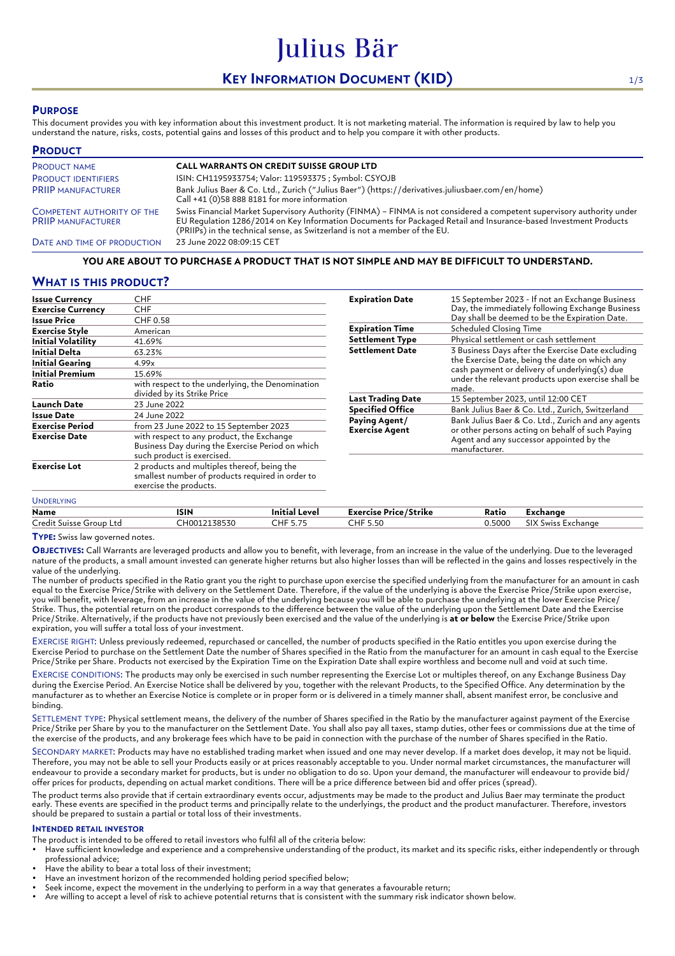# **KEY INFORMATION DOCUMENT (KID)** 1/3

Julius Bär

# **PURPOSE**

This document provides you with key information about this investment product. It is not marketing material. The information is required by law to help you understand the nature, risks, costs, potential gains and losses of this product and to help you compare it with other products.

| <b>PRODUCT</b>                                                 |                                                                                                                                                                                                                                                                                                                          |
|----------------------------------------------------------------|--------------------------------------------------------------------------------------------------------------------------------------------------------------------------------------------------------------------------------------------------------------------------------------------------------------------------|
| <b>PRODUCT NAME</b>                                            | <b>CALL WARRANTS ON CREDIT SUISSE GROUP LTD</b>                                                                                                                                                                                                                                                                          |
| <b>PRODUCT IDENTIFIERS</b>                                     | ISIN: CH1195933754; Valor: 119593375 ; Symbol: CSYOJB                                                                                                                                                                                                                                                                    |
| <b>PRIIP MANUFACTURER</b>                                      | Bank Julius Baer & Co. Ltd., Zurich ("Julius Baer") (https://derivatives.juliusbaer.com/en/home)<br>Call +41 (0)58 888 8181 for more information                                                                                                                                                                         |
| <b>COMPETENT AUTHORITY OF THE</b><br><b>PRIIP MANUFACTURER</b> | Swiss Financial Market Supervisory Authority (FINMA) - FINMA is not considered a competent supervisory authority under<br>EU Regulation 1286/2014 on Key Information Documents for Packaged Retail and Insurance-based Investment Products<br>(PRIIPs) in the technical sense, as Switzerland is not a member of the EU. |
| DATE AND TIME OF PRODUCTION                                    | 23 June 2022 08:09:15 CET                                                                                                                                                                                                                                                                                                |

### **YOU ARE ABOUT TO PURCHASE A PRODUCT THAT IS NOT SIMPLE AND MAY BE DIFFICULT TO UNDERSTAND.**

## **WHAT IS THIS PRODUCT?**

| <b>Issue Currency</b>     | CHF                                                                                                                         |  |
|---------------------------|-----------------------------------------------------------------------------------------------------------------------------|--|
| <b>Exercise Currency</b>  | <b>CHF</b>                                                                                                                  |  |
| <b>Issue Price</b>        | CHF 0.58                                                                                                                    |  |
| Exercise Style            | American                                                                                                                    |  |
| <b>Initial Volatility</b> | 41.69%                                                                                                                      |  |
| Initial Delta             | 63.23%                                                                                                                      |  |
| <b>Initial Gearing</b>    | 4.99x                                                                                                                       |  |
| <b>Initial Premium</b>    | 15.69%                                                                                                                      |  |
| Ratio                     | with respect to the underlying, the Denomination<br>divided by its Strike Price                                             |  |
| <b>Launch Date</b>        | 23 June 2022                                                                                                                |  |
| Issue Date                | 24 June 2022                                                                                                                |  |
| Exercise Period           | from 23 June 2022 to 15 September 2023                                                                                      |  |
| <b>Exercise Date</b>      | with respect to any product, the Exchange<br>Business Day during the Exercise Period on which<br>such product is exercised. |  |
| <b>Exercise Lot</b>       | 2 products and multiples thereof, being the<br>smallest number of products required in order to<br>exercise the products.   |  |
| <b>UNDERLYING</b>         |                                                                                                                             |  |

| <b>Expiration Date</b>                 | 15 September 2023 - If not an Exchange Business<br>Day, the immediately following Exchange Business<br>Day shall be deemed to be the Expiration Date.                                                               |
|----------------------------------------|---------------------------------------------------------------------------------------------------------------------------------------------------------------------------------------------------------------------|
| <b>Expiration Time</b>                 | <b>Scheduled Closing Time</b>                                                                                                                                                                                       |
| <b>Settlement Type</b>                 | Physical settlement or cash settlement                                                                                                                                                                              |
| <b>Settlement Date</b>                 | 3 Business Days after the Exercise Date excluding<br>the Exercise Date, being the date on which any<br>cash payment or delivery of underlying(s) due<br>under the relevant products upon exercise shall be<br>made. |
| <b>Last Trading Date</b>               | 15 September 2023, until 12:00 CET                                                                                                                                                                                  |
| <b>Specified Office</b>                | Bank Julius Baer & Co. Ltd., Zurich, Switzerland                                                                                                                                                                    |
| Paying Agent/<br><b>Exercise Agent</b> | Bank Julius Baer & Co. Ltd., Zurich and any agents<br>or other persons acting on behalf of such Paying<br>Agent and any successor appointed by the<br>manufacturer.                                                 |

| Name                                 | ISIN                    | ' Level<br>Initia               | $\overline{\phantom{a}}$<br>'Strike<br><b>Exercise Price</b> / | Ratio  | Exchange                   |
|--------------------------------------|-------------------------|---------------------------------|----------------------------------------------------------------|--------|----------------------------|
| -<br>.redit<br>: Group Ltd<br>Suisse | 138530<br>HUU<br>ں ددیت | <b>CLIP</b><br>$- - -$<br>– ⊓ F | CHF.<br>$  \sim$<br>،ر.ر                                       | 0.5000 | SIX S<br>Exchange<br>SWISS |

**TYPE:** Swiss law governed notes.

**OBJECTIVES:** Call Warrants are leveraged products and allow you to benefit, with leverage, from an increase in the value of the underlying. Due to the leveraged nature of the products, a small amount invested can generate higher returns but also higher losses than will be reflected in the gains and losses respectively in the value of the underlying.

The number of products specified in the Ratio grant you the right to purchase upon exercise the specified underlying from the manufacturer for an amount in cash equal to the Exercise Price/Strike with delivery on the Settlement Date. Therefore, if the value of the underlying is above the Exercise Price/Strike upon exercise, you will benefit, with leverage, from an increase in the value of the underlying because you will be able to purchase the underlying at the lower Exercise Price/ Strike. Thus, the potential return on the product corresponds to the difference between the value of the underlying upon the Settlement Date and the Exercise Price/Strike. Alternatively, if the products have not previously been exercised and the value of the underlying is **at or below** the Exercise Price/Strike upon expiration, you will suffer a total loss of your investment.

EXERCISE RIGHT: Unless previously redeemed, repurchased or cancelled, the number of products specified in the Ratio entitles you upon exercise during the Exercise Period to purchase on the Settlement Date the number of Shares specified in the Ratio from the manufacturer for an amount in cash equal to the Exercise Price/Strike per Share. Products not exercised by the Expiration Time on the Expiration Date shall expire worthless and become null and void at such time.

EXERCISE CONDITIONS: The products may only be exercised in such number representing the Exercise Lot or multiples thereof, on any Exchange Business Day during the Exercise Period. An Exercise Notice shall be delivered by you, together with the relevant Products, to the Specified Office. Any determination by the manufacturer as to whether an Exercise Notice is complete or in proper form or is delivered in a timely manner shall, absent manifest error, be conclusive and binding.

SETTLEMENT TYPE: Physical settlement means, the delivery of the number of Shares specified in the Ratio by the manufacturer against payment of the Exercise Price/Strike per Share by you to the manufacturer on the Settlement Date. You shall also pay all taxes, stamp duties, other fees or commissions due at the time of the exercise of the products, and any brokerage fees which have to be paid in connection with the purchase of the number of Shares specified in the Ratio.

SECONDARY MARKET: Products may have no established trading market when issued and one may never develop. If a market does develop, it may not be liquid. Therefore, you may not be able to sell your Products easily or at prices reasonably acceptable to you. Under normal market circumstances, the manufacturer will endeavour to provide a secondary market for products, but is under no obligation to do so. Upon your demand, the manufacturer will endeavour to provide bid/ offer prices for products, depending on actual market conditions. There will be a price difference between bid and offer prices (spread).

The product terms also provide that if certain extraordinary events occur, adjustments may be made to the product and Julius Baer may terminate the product early. These events are specified in the product terms and principally relate to the underlyings, the product and the product manufacturer. Therefore, investors should be prepared to sustain a partial or total loss of their investments.

#### **INTENDED RETAIL INVESTOR**

The product is intended to be offered to retail investors who fulfil all of the criteria below:

- Have sufficient knowledge and experience and a comprehensive understanding of the product, its market and its specific risks, either independently or through professional advice;
- Have the ability to bear a total loss of their investment;
- Have an investment horizon of the recommended holding period specified below;
- Seek income, expect the movement in the underlying to perform in a way that generates a favourable return;
- Are willing to accept a level of risk to achieve potential returns that is consistent with the summary risk indicator shown below.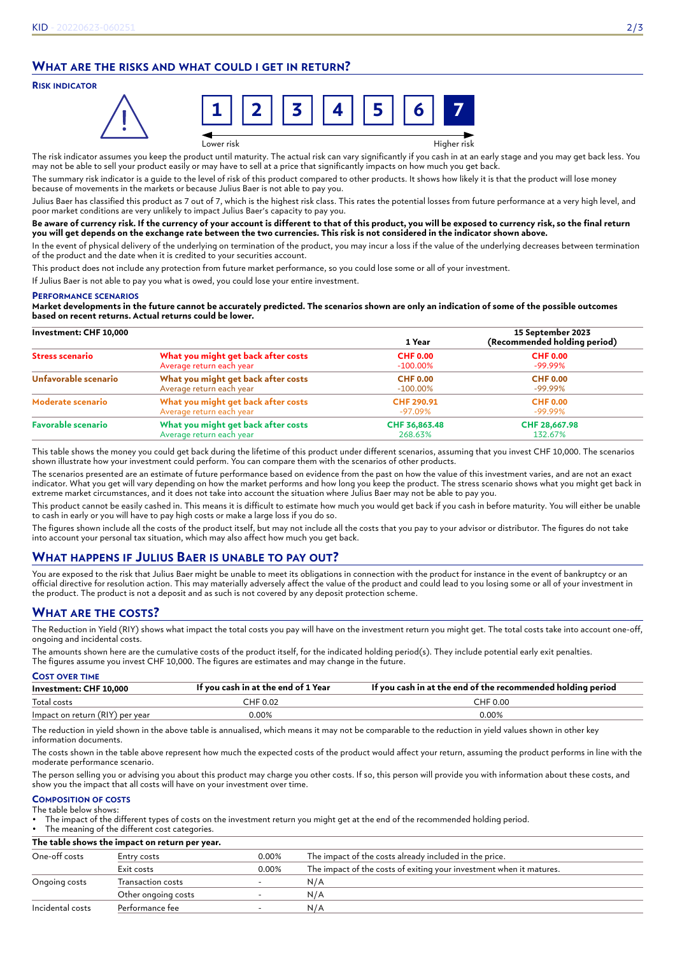# **WHAT ARE THE RISKS AND WHAT COULD I GET IN RETURN?**

#### **RISK INDICATOR**



Lower risk Higher risk

The risk indicator assumes you keep the product until maturity. The actual risk can vary significantly if you cash in at an early stage and you may get back less. You may not be able to sell your product easily or may have to sell at a price that significantly impacts on how much you get back.

The summary risk indicator is a guide to the level of risk of this product compared to other products. It shows how likely it is that the product will lose money because of movements in the markets or because Julius Baer is not able to pay you.

Julius Baer has classified this product as 7 out of 7, which is the highest risk class. This rates the potential losses from future performance at a very high level, and poor market conditions are very unlikely to impact Julius Baer's capacity to pay you.

#### **Be aware of currency risk. If the currency of your account is different to that of this product, you will be exposed to currency risk, so the final return you will get depends on the exchange rate between the two currencies. This risk is not considered in the indicator shown above.**

In the event of physical delivery of the underlying on termination of the product, you may incur a loss if the value of the underlying decreases between termination of the product and the date when it is credited to your securities account.

This product does not include any protection from future market performance, so you could lose some or all of your investment.

If Julius Baer is not able to pay you what is owed, you could lose your entire investment.

#### **PERFORMANCE SCENARIOS**

**Market developments in the future cannot be accurately predicted. The scenarios shown are only an indication of some of the possible outcomes based on recent returns. Actual returns could be lower.**

| Investment: CHF 10,000    |                                     | 1 Year          | 15 September 2023<br>(Recommended holding period) |
|---------------------------|-------------------------------------|-----------------|---------------------------------------------------|
| <b>Stress scenario</b>    | What you might get back after costs | <b>CHF 0.00</b> | <b>CHF 0.00</b>                                   |
|                           | Average return each year            | $-100.00\%$     | $-99.99\%$                                        |
| Unfavorable scenario      | What you might get back after costs | <b>CHF 0.00</b> | <b>CHF 0.00</b>                                   |
|                           | Average return each year            | $-100.00\%$     | $-99.99\%$                                        |
| Moderate scenario         | What you might get back after costs | CHF 290.91      | <b>CHF 0.00</b>                                   |
|                           | Average return each year            | -97.09%         | $-99.99\%$                                        |
| <b>Favorable scenario</b> | What you might get back after costs | CHF 36,863.48   | CHF 28,667.98                                     |
|                           | Average return each year            | 268.63%         | 132.67%                                           |

This table shows the money you could get back during the lifetime of this product under different scenarios, assuming that you invest CHF 10,000. The scenarios shown illustrate how your investment could perform. You can compare them with the scenarios of other products.

The scenarios presented are an estimate of future performance based on evidence from the past on how the value of this investment varies, and are not an exact indicator. What you get will vary depending on how the market performs and how long you keep the product. The stress scenario shows what you might get back in extreme market circumstances, and it does not take into account the situation where Julius Baer may not be able to pay you.

This product cannot be easily cashed in. This means it is difficult to estimate how much you would get back if you cash in before maturity. You will either be unable to cash in early or you will have to pay high costs or make a large loss if you do so.

The figures shown include all the costs of the product itself, but may not include all the costs that you pay to your advisor or distributor. The figures do not take into account your personal tax situation, which may also affect how much you get back.

# **WHAT HAPPENS IF JULIUS BAER IS UNABLE TO PAY OUT?**

You are exposed to the risk that Julius Baer might be unable to meet its obligations in connection with the product for instance in the event of bankruptcy or an official directive for resolution action. This may materially adversely affect the value of the product and could lead to you losing some or all of your investment in the product. The product is not a deposit and as such is not covered by any deposit protection scheme.

# **WHAT ARE THE COSTS?**

The Reduction in Yield (RIY) shows what impact the total costs you pay will have on the investment return you might get. The total costs take into account one-off, ongoing and incidental costs.

The amounts shown here are the cumulative costs of the product itself, for the indicated holding period(s). They include potential early exit penalties. The figures assume you invest CHF 10,000. The figures are estimates and may change in the future.

| <b>COST OVER TIME</b>           |                                     |                                                             |  |
|---------------------------------|-------------------------------------|-------------------------------------------------------------|--|
| Investment: CHF 10,000          | If you cash in at the end of 1 Year | If you cash in at the end of the recommended holding period |  |
| Total costs                     | CHF 0.02                            | CHF 0.00                                                    |  |
| Impact on return (RIY) per year | 0.00%                               | $0.00\%$                                                    |  |

The reduction in yield shown in the above table is annualised, which means it may not be comparable to the reduction in yield values shown in other key information documents.

The costs shown in the table above represent how much the expected costs of the product would affect your return, assuming the product performs in line with the moderate performance scenario.

The person selling you or advising you about this product may charge you other costs. If so, this person will provide you with information about these costs, and show you the impact that all costs will have on your investment over time.

#### **COMPOSITION OF COSTS** The table below shows:

• The impact of the different types of costs on the investment return you might get at the end of the recommended holding period.

The meaning of the different cost categories.

**The table shows the impact on return per year.**

| One-off costs    | Entry costs         | 0.00% | The impact of the costs already included in the price.              |
|------------------|---------------------|-------|---------------------------------------------------------------------|
|                  | Exit costs          | 0.00% | The impact of the costs of exiting your investment when it matures. |
| Ongoing costs    | Transaction costs   |       | N/A                                                                 |
|                  | Other ongoing costs |       | N/A                                                                 |
| Incidental costs | Performance fee     |       | N/A                                                                 |